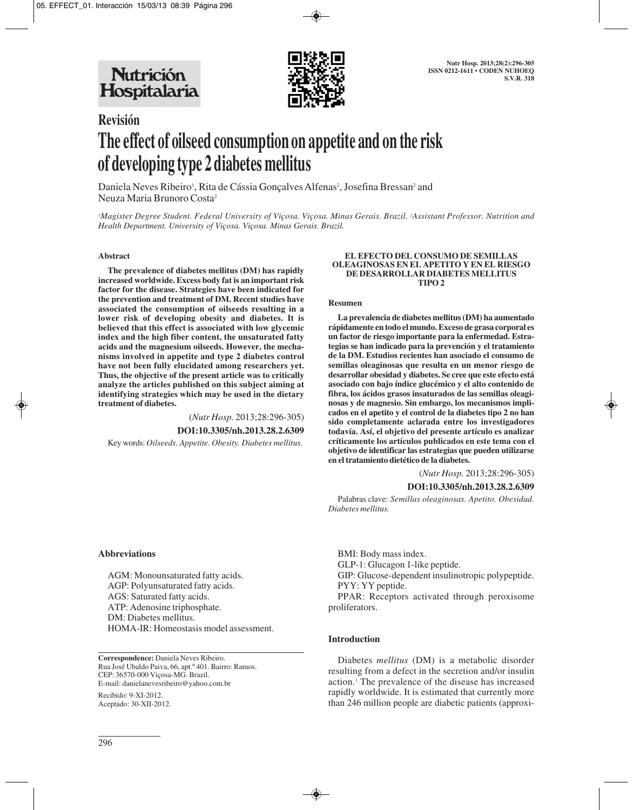

# **Revisión The effect of oilseed consumption on appetite and on the risk of developing type 2 diabetes mellitus**

Daniela Neves Ribeiro<sup>1</sup>, Rita de Cássia Gonçalves Alfenas<sup>2</sup>, Josefina Bressan<sup>2</sup> and Neuza Maria Brunoro Costa2

*1 Magister Degree Student. Federal University of Viçosa. Viçosa. Minas Gerais. Brazil. 2 Assistant Professor. Nutrition and Health Department. University of Viçosa. Viçosa. Minas Gerais. Brazil.*

#### **Abstract**

**The prevalence of diabetes mellitus (DM) has rapidly increased worldwide. Excess body fat is an important risk factor for the disease. Strategies have been indicated for the prevention and treatment of DM. Recent studies have associated the consumption of oilseeds resulting in a lower risk of developing obesity and diabetes. It is believed that this effect is associated with low glycemic index and the high fiber content, the unsaturated fatty acids and the magnesium oilseeds. However, the mechanisms involved in appetite and type 2 diabetes control have not been fully elucidated among researchers yet. Thus, the objective of the present article was to critically analyze the articles published on this subject aiming at identifying strategies which may be used in the dietary treatment of diabetes.**

> (*Nutr Hosp.* 2013;28:296-305) **DOI:10.3305/nh.2013.28.2.6309**

Key words: *Oilseeds. Appetite. Obesity. Diabetes mellitus.*

#### **EL EFECTO DEL CONSUMO DE SEMILLAS OLEAGINOSAS EN EL APETITO Y EN EL RIESGO DE DESARROLLAR DIABETES MELLITUS TIPO 2**

#### **Resumen**

**La prevalencia de diabetes mellitus (DM) ha aumentado rápidamente en todo el mundo. Exceso de grasa corporal es un factor de riesgo importante para la enfermedad. Estrategias se han indicado para la prevención y el tratamiento de la DM. Estudios recientes han asociado el consumo de semillas oleaginosas que resulta en un menor riesgo de desarrollar obesidad y diabetes. Se cree que este efecto está asociado con bajo índice glucémico y el alto contenido de fibra, los ácidos grasos insaturados de las semillas oleaginosas y de magnesio. Sin embargo, los mecanismos implicados en el apetito y el control de la diabetes tipo 2 no han sido completamente aclarada entre los investigadores todavía. Así, el objetivo del presente artículo es analizar críticamente los artículos publicados en este tema con el objetivo de identificar las estrategias que pueden utilizarse en el tratamiento dietético de la diabetes.**

(*Nutr Hosp.* 2013;28:296-305)

#### **DOI:10.3305/nh.2013.28.2.6309**

Palabras clave: *Semillas oleaginosas. Apetito. Obesidad. Diabetes mellitus.*

#### **Abbreviations**

AGM: Monounsaturated fatty acids. AGP: Polyunsaturated fatty acids. AGS: Saturated fatty acids. ATP: Adenosine triphosphate. DM: Diabetes mellitus. HOMA-IR: Homeostasis model assessment.

**Correspondence:** Daniela Neves Ribeiro. Rua José Ubaldo Paiva, 66, apt.º 401. Bairro: Ramos. CEP: 36570-000 Viçosa-MG. Brazil. E-mail: danielanevesribeiro@yahoo.com.br

Recibido: 9-XI-2012. Aceptado: 30-XII-2012. BMI: Body mass index.

GLP-1: Glucagon 1-like peptide.

GIP: Glucose-dependent insulinotropic polypeptide. PYY: YY peptide.

PPAR: Receptors activated through peroxisome proliferators.

### **Introduction**

Diabetes *mellitus* (DM) is a metabolic disorder resulting from a defect in the secretion and/or insulin action.1 The prevalence of the disease has increased rapidly worldwide. It is estimated that currently more than 246 million people are diabetic patients (approxi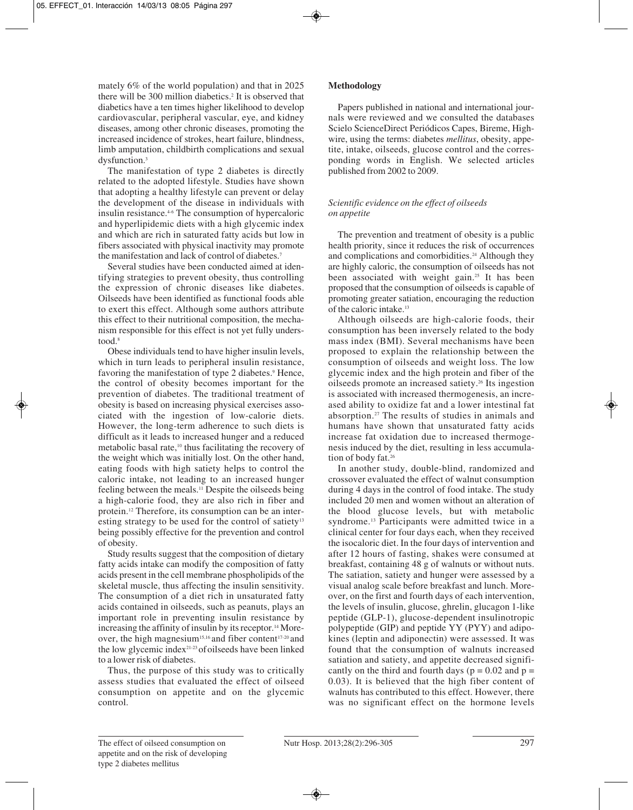mately 6% of the world population) and that in 2025 there will be 300 million diabetics.<sup>2</sup> It is observed that diabetics have a ten times higher likelihood to develop cardiovascular, peripheral vascular, eye, and kidney diseases, among other chronic diseases, promoting the increased incidence of strokes, heart failure, blindness, limb amputation, childbirth complications and sexual dysfunction.<sup>3</sup>

The manifestation of type 2 diabetes is directly related to the adopted lifestyle. Studies have shown that adopting a healthy lifestyle can prevent or delay the development of the disease in individuals with insulin resistance.4-6 The consumption of hypercaloric and hyperlipidemic diets with a high glycemic index and which are rich in saturated fatty acids but low in fibers associated with physical inactivity may promote the manifestation and lack of control of diabetes.7

Several studies have been conducted aimed at identifying strategies to prevent obesity, thus controlling the expression of chronic diseases like diabetes. Oilseeds have been identified as functional foods able to exert this effect. Although some authors attribute this effect to their nutritional composition, the mechanism responsible for this effect is not yet fully understood.8

Obese individuals tend to have higher insulin levels, which in turn leads to peripheral insulin resistance, favoring the manifestation of type 2 diabetes.<sup>9</sup> Hence, the control of obesity becomes important for the prevention of diabetes. The traditional treatment of obesity is based on increasing physical exercises associated with the ingestion of low-calorie diets. However, the long-term adherence to such diets is difficult as it leads to increased hunger and a reduced metabolic basal rate,10 thus facilitating the recovery of the weight which was initially lost. On the other hand, eating foods with high satiety helps to control the caloric intake, not leading to an increased hunger feeling between the meals.11 Despite the oilseeds being a high-calorie food, they are also rich in fiber and protein.12 Therefore, its consumption can be an interesting strategy to be used for the control of satiety<sup>13</sup> being possibly effective for the prevention and control of obesity.

Study results suggest that the composition of dietary fatty acids intake can modify the composition of fatty acids present in the cell membrane phospholipids of the skeletal muscle, thus affecting the insulin sensitivity. The consumption of a diet rich in unsaturated fatty acids contained in oilseeds, such as peanuts, plays an important role in preventing insulin resistance by increasing the affinity of insulin by its receptor.14 Moreover, the high magnesium<sup>15,16</sup> and fiber content<sup>17-20</sup> and the low glycemic index21-23 ofoilseeds have been linked to a lower risk of diabetes.

Thus, the purpose of this study was to critically assess studies that evaluated the effect of oilseed consumption on appetite and on the glycemic control.

# **Methodology**

Papers published in national and international journals were reviewed and we consulted the databases Scielo ScienceDirect Periódicos Capes, Bireme, Highwire, using the terms: diabetes *mellitus*, obesity, appetite, intake, oilseeds, glucose control and the corresponding words in English. We selected articles published from 2002 to 2009.

## *Scientific evidence on the effect of oilseeds on appetite*

The prevention and treatment of obesity is a public health priority, since it reduces the risk of occurrences and complications and comorbidities.<sup>24</sup> Although they are highly caloric, the consumption of oilseeds has not been associated with weight gain.25 It has been proposed that the consumption of oilseeds is capable of promoting greater satiation, encouraging the reduction of the caloric intake.13

Although oilseeds are high-calorie foods, their consumption has been inversely related to the body mass index (BMI). Several mechanisms have been proposed to explain the relationship between the consumption of oilseeds and weight loss. The low glycemic index and the high protein and fiber of the oilseeds promote an increased satiety.26 Its ingestion is associated with increased thermogenesis, an increased ability to oxidize fat and a lower intestinal fat absorption.27 The results of studies in animals and humans have shown that unsaturated fatty acids increase fat oxidation due to increased thermogenesis induced by the diet, resulting in less accumulation of body fat.<sup>26</sup>

In another study, double-blind, randomized and crossover evaluated the effect of walnut consumption during 4 days in the control of food intake. The study included 20 men and women without an alteration of the blood glucose levels, but with metabolic syndrome.<sup>13</sup> Participants were admitted twice in a clinical center for four days each, when they received the isocaloric diet. In the four days of intervention and after 12 hours of fasting, shakes were consumed at breakfast, containing 48 g of walnuts or without nuts. The satiation, satiety and hunger were assessed by a visual analog scale before breakfast and lunch. Moreover, on the first and fourth days of each intervention, the levels of insulin, glucose, ghrelin, glucagon 1-like peptide (GLP-1), glucose-dependent insulinotropic polypeptide (GIP) and peptide YY (PYY) and adipokines (leptin and adiponectin) were assessed. It was found that the consumption of walnuts increased satiation and satiety, and appetite decreased significantly on the third and fourth days ( $p = 0.02$  and  $p =$ 0.03). It is believed that the high fiber content of walnuts has contributed to this effect. However, there was no significant effect on the hormone levels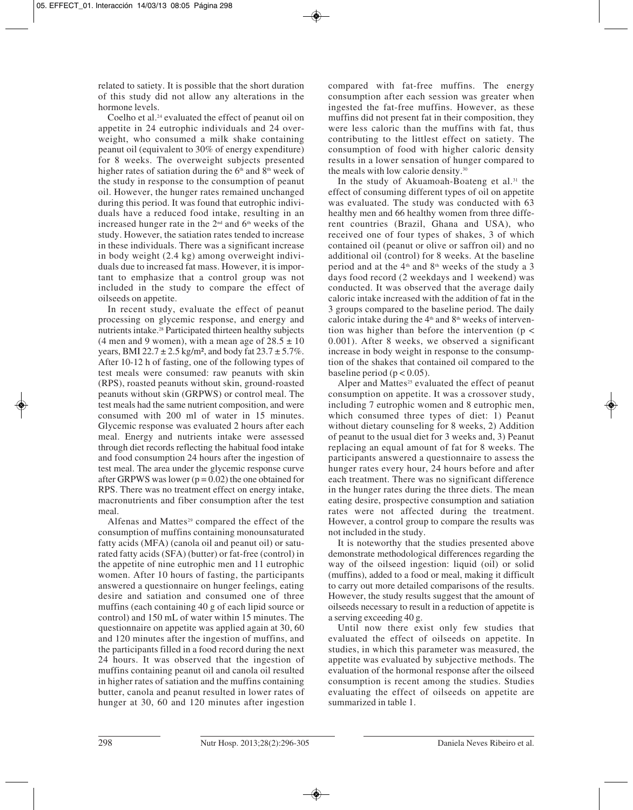related to satiety. It is possible that the short duration of this study did not allow any alterations in the hormone levels.

Coelho et al.<sup>24</sup> evaluated the effect of peanut oil on appetite in 24 eutrophic individuals and 24 overweight, who consumed a milk shake containing peanut oil (equivalent to 30% of energy expenditure) for 8 weeks. The overweight subjects presented higher rates of satiation during the  $6<sup>th</sup>$  and  $8<sup>th</sup>$  week of the study in response to the consumption of peanut oil. However, the hunger rates remained unchanged during this period. It was found that eutrophic individuals have a reduced food intake, resulting in an increased hunger rate in the  $2<sup>nd</sup>$  and  $6<sup>th</sup>$  weeks of the study. However, the satiation rates tended to increase in these individuals. There was a significant increase in body weight (2.4 kg) among overweight individuals due to increased fat mass. However, it is important to emphasize that a control group was not included in the study to compare the effect of oilseeds on appetite.

In recent study, evaluate the effect of peanut processing on glycemic response, and energy and nutrients intake.28 Participated thirteen healthy subjects (4 men and 9 women), with a mean age of  $28.5 \pm 10$ years, BMI 22.7  $\pm$  2.5 kg/m<sup>2</sup>, and body fat 23.7  $\pm$  5.7%. After 10-12 h of fasting, one of the following types of test meals were consumed: raw peanuts with skin (RPS), roasted peanuts without skin, ground-roasted peanuts without skin (GRPWS) or control meal. The test meals had the same nutrient composition, and were consumed with 200 ml of water in 15 minutes. Glycemic response was evaluated 2 hours after each meal. Energy and nutrients intake were assessed through diet records reflecting the habitual food intake and food consumption 24 hours after the ingestion of test meal. The area under the glycemic response curve after GRPWS was lower  $(p = 0.02)$  the one obtained for RPS. There was no treatment effect on energy intake, macronutrients and fiber consumption after the test meal.

Alfenas and Mattes<sup>29</sup> compared the effect of the consumption of muffins containing monounsaturated fatty acids (MFA) (canola oil and peanut oil) or saturated fatty acids (SFA) (butter) or fat-free (control) in the appetite of nine eutrophic men and 11 eutrophic women. After 10 hours of fasting, the participants answered a questionnaire on hunger feelings, eating desire and satiation and consumed one of three muffins (each containing 40 g of each lipid source or control) and 150 mL of water within 15 minutes. The questionnaire on appetite was applied again at 30, 60 and 120 minutes after the ingestion of muffins, and the participants filled in a food record during the next 24 hours. It was observed that the ingestion of muffins containing peanut oil and canola oil resulted in higher rates of satiation and the muffins containing butter, canola and peanut resulted in lower rates of hunger at 30, 60 and 120 minutes after ingestion

compared with fat-free muffins. The energy consumption after each session was greater when ingested the fat-free muffins. However, as these muffins did not present fat in their composition, they were less caloric than the muffins with fat, thus contributing to the littlest effect on satiety. The consumption of food with higher caloric density results in a lower sensation of hunger compared to the meals with low calorie density.30

In the study of Akuamoah-Boateng et al.<sup>31</sup> the effect of consuming different types of oil on appetite was evaluated. The study was conducted with 63 healthy men and 66 healthy women from three different countries (Brazil, Ghana and USA), who received one of four types of shakes, 3 of which contained oil (peanut or olive or saffron oil) and no additional oil (control) for 8 weeks. At the baseline period and at the  $4<sup>th</sup>$  and  $8<sup>th</sup>$  weeks of the study a 3 days food record (2 weekdays and 1 weekend) was conducted. It was observed that the average daily caloric intake increased with the addition of fat in the 3 groups compared to the baseline period. The daily caloric intake during the  $4<sup>th</sup>$  and  $8<sup>th</sup>$  weeks of intervention was higher than before the intervention ( $p <$ 0.001). After 8 weeks, we observed a significant increase in body weight in response to the consumption of the shakes that contained oil compared to the baseline period ( $p < 0.05$ ).

Alper and Mattes $25$  evaluated the effect of peanut consumption on appetite. It was a crossover study, including 7 eutrophic women and 8 eutrophic men, which consumed three types of diet: 1) Peanut without dietary counseling for 8 weeks, 2) Addition of peanut to the usual diet for 3 weeks and, 3) Peanut replacing an equal amount of fat for 8 weeks. The participants answered a questionnaire to assess the hunger rates every hour, 24 hours before and after each treatment. There was no significant difference in the hunger rates during the three diets. The mean eating desire, prospective consumption and satiation rates were not affected during the treatment. However, a control group to compare the results was not included in the study.

It is noteworthy that the studies presented above demonstrate methodological differences regarding the way of the oilseed ingestion: liquid (oil) or solid (muffins), added to a food or meal, making it difficult to carry out more detailed comparisons of the results. However, the study results suggest that the amount of oilseeds necessary to result in a reduction of appetite is a serving exceeding 40 g.

Until now there exist only few studies that evaluated the effect of oilseeds on appetite. In studies, in which this parameter was measured, the appetite was evaluated by subjective methods. The evaluation of the hormonal response after the oilseed consumption is recent among the studies. Studies evaluating the effect of oilseeds on appetite are summarized in table 1.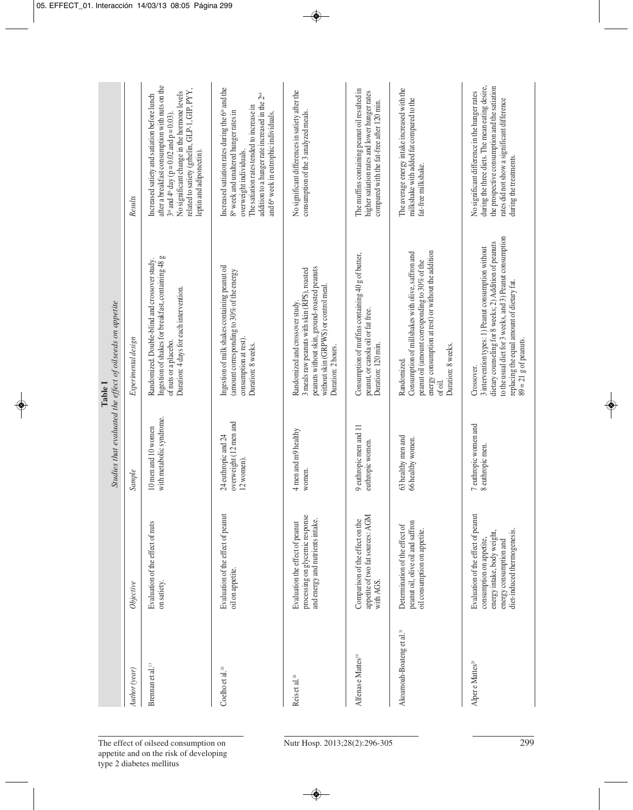| Studies that evaluated the effect of oilseeds on appetite<br>Table I | Results<br>Experimental design<br>Sample | after a breakfast consumption with nuts on the<br>related to satiety (grhelin, GLP-1, GIP, PYY,<br>No significant change in the hormone levels<br>Increased satiety and satiation before lunch<br>$3^{rd}$ and $4^{th}$ day (p = 0.02 and p = 0.03).<br>leptin and adiponectin).<br>Ingestion of shakes for breakfast, containing 48 g<br>Randomized. Double-blind and crossover study.<br>Duration: 4 days for each intervention.<br>of nuts or a placebo.<br>with metabolic syndrome.<br>10 men and 10 women | Increased satiation rates during the 6 <sup>th</sup> and the<br>addition to a hunger rate increased in the 2 <sup>nd</sup><br>The satiation rates tended to increase in<br>8 <sup>th</sup> week and unaltered hunger rates in<br>and 6 <sup>th</sup> week in eutrophic individuals.<br>overweight individuals.<br>Ingestion of milk shakes containing peanut oil<br>(amount corresponding to 30% of the energy<br>consumption at rest).<br>Duration: 8 weeks.<br>overweight (12 men and<br>24 euthropic and 24<br>12 women). | No significant differences in satiety after the<br>consumption of the 3 analyzed meals.<br>peanuts without skin, ground-roasted peanuts<br>3 meals raw peanuts with skin (RPS), roasted<br>without skin (GRPWS) or control meal.<br>Randomized and crossover study.<br>Duration: 2 hours.<br>4 men and m9 healthy<br>women. | The muffins containing peanut oil resulted in<br>higher satiation rates and lower hunger rates<br>compared with the fat-free after 120 min.<br>Consumption of muffins containing 40 g of butter,<br>peanut, or canola oil or fat free.<br>Duration: 120 min.<br>9 euthropic men and 11<br>euthropic women. | The average energy intake increased with the<br>milkshake with added fat compared to the<br>fat-free milkshake.<br>energy consumption at rest) or without the addition<br>Consumption of millshakes with olive, saffron and<br>peanut oil (amount corresponding to 30% of the<br>Duration: 8 weeks.<br>Randomized.<br>of oil.<br>63 healthy men and<br>66 healthy women. | during the three diets. The mean eating desire,<br>the prospective consumption and the satiation<br>No significant difference in the hunger rates<br>rates did not show a significant difference<br>during the treatments.<br>to the usual diet for 3 weeks, and 3) Peanut consumption<br>dietary counseling for 8 weeks; 2) Addition of peanuts<br>3 intervention types: 1) Peanut consumption without<br>replacing the equal amount of dietary fat.<br>Crossover.<br>7 euthropic women and<br>8 euthropic men. |
|----------------------------------------------------------------------|------------------------------------------|----------------------------------------------------------------------------------------------------------------------------------------------------------------------------------------------------------------------------------------------------------------------------------------------------------------------------------------------------------------------------------------------------------------------------------------------------------------------------------------------------------------|------------------------------------------------------------------------------------------------------------------------------------------------------------------------------------------------------------------------------------------------------------------------------------------------------------------------------------------------------------------------------------------------------------------------------------------------------------------------------------------------------------------------------|-----------------------------------------------------------------------------------------------------------------------------------------------------------------------------------------------------------------------------------------------------------------------------------------------------------------------------|------------------------------------------------------------------------------------------------------------------------------------------------------------------------------------------------------------------------------------------------------------------------------------------------------------|--------------------------------------------------------------------------------------------------------------------------------------------------------------------------------------------------------------------------------------------------------------------------------------------------------------------------------------------------------------------------|------------------------------------------------------------------------------------------------------------------------------------------------------------------------------------------------------------------------------------------------------------------------------------------------------------------------------------------------------------------------------------------------------------------------------------------------------------------------------------------------------------------|
|                                                                      |                                          |                                                                                                                                                                                                                                                                                                                                                                                                                                                                                                                |                                                                                                                                                                                                                                                                                                                                                                                                                                                                                                                              |                                                                                                                                                                                                                                                                                                                             |                                                                                                                                                                                                                                                                                                            |                                                                                                                                                                                                                                                                                                                                                                          |                                                                                                                                                                                                                                                                                                                                                                                                                                                                                                                  |
|                                                                      | Objective                                | Evaluation of the effect of nuts<br>on satiety.                                                                                                                                                                                                                                                                                                                                                                                                                                                                | Evaluation of the effect of peanut<br>oil on appetite.                                                                                                                                                                                                                                                                                                                                                                                                                                                                       | processing on glycemic response<br>and energy and nutrients intake.<br>Evaluation the effect of peanut                                                                                                                                                                                                                      | appetite of two fat sources: AGM<br>Comparison of the effect on the<br>with AGS.                                                                                                                                                                                                                           | peanut oil, olive oil and saffron<br>Determination of the effect of<br>oil consumption on appetite.                                                                                                                                                                                                                                                                      | Evaluation of the effect of peanut<br>diet-induced thermogenesis.<br>energy intake, body weight,<br>consumption on appetite,<br>energy consumption and                                                                                                                                                                                                                                                                                                                                                           |
|                                                                      | Author (year)                            | Brennan et al. <sup>13</sup>                                                                                                                                                                                                                                                                                                                                                                                                                                                                                   | Coelho et al. <sup>24</sup>                                                                                                                                                                                                                                                                                                                                                                                                                                                                                                  | Reis et al. <sup>28</sup>                                                                                                                                                                                                                                                                                                   | Alfenas e Mattes <sup>29</sup>                                                                                                                                                                                                                                                                             | Akoamoah-Boateng et al. <sup>31</sup>                                                                                                                                                                                                                                                                                                                                    | Alper e Mattes <sup>25</sup>                                                                                                                                                                                                                                                                                                                                                                                                                                                                                     |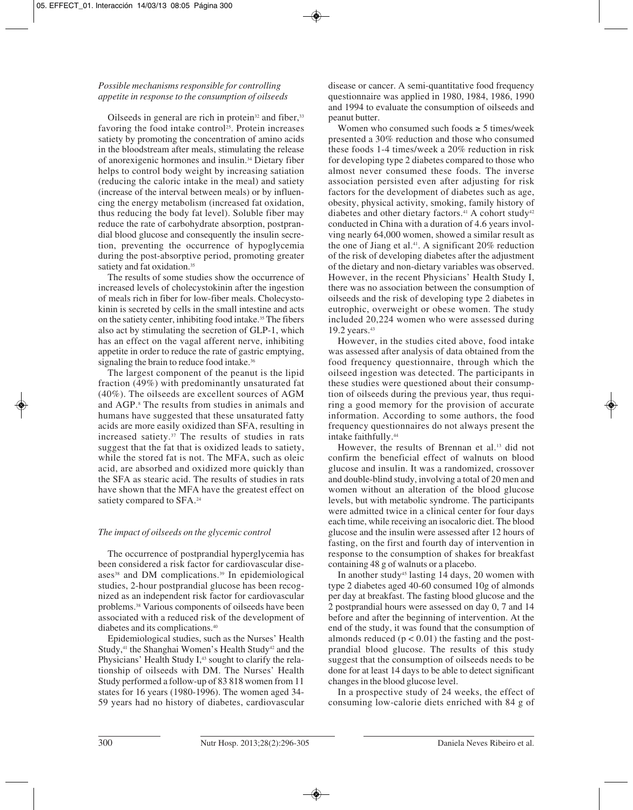# *Possible mechanisms responsible for controlling appetite in response to the consumption of oilseeds*

Oilseeds in general are rich in protein $32$  and fiber,  $33$ favoring the food intake control<sup>25</sup>. Protein increases satiety by promoting the concentration of amino acids in the bloodstream after meals, stimulating the release of anorexigenic hormones and insulin.34 Dietary fiber helps to control body weight by increasing satiation (reducing the caloric intake in the meal) and satiety (increase of the interval between meals) or by influencing the energy metabolism (increased fat oxidation, thus reducing the body fat level). Soluble fiber may reduce the rate of carbohydrate absorption, postprandial blood glucose and consequently the insulin secretion, preventing the occurrence of hypoglycemia during the post-absorptive period, promoting greater satiety and fat oxidation.<sup>35</sup>

The results of some studies show the occurrence of increased levels of cholecystokinin after the ingestion of meals rich in fiber for low-fiber meals. Cholecystokinin is secreted by cells in the small intestine and acts on the satiety center, inhibiting food intake.35 The fibers also act by stimulating the secretion of GLP-1, which has an effect on the vagal afferent nerve, inhibiting appetite in order to reduce the rate of gastric emptying, signaling the brain to reduce food intake.<sup>36</sup>

The largest component of the peanut is the lipid fraction (49%) with predominantly unsaturated fat (40%). The oilseeds are excellent sources of AGM and AGP.8 The results from studies in animals and humans have suggested that these unsaturated fatty acids are more easily oxidized than SFA, resulting in increased satiety.37 The results of studies in rats suggest that the fat that is oxidized leads to satiety, while the stored fat is not. The MFA, such as oleic acid, are absorbed and oxidized more quickly than the SFA as stearic acid. The results of studies in rats have shown that the MFA have the greatest effect on satiety compared to SFA.<sup>24</sup>

### *The impact of oilseeds on the glycemic control*

The occurrence of postprandial hyperglycemia has been considered a risk factor for cardiovascular diseases $38$  and DM complications.<sup>39</sup> In epidemiological studies, 2-hour postprandial glucose has been recognized as an independent risk factor for cardiovascular problems.38 Various components of oilseeds have been associated with a reduced risk of the development of diabetes and its complications.40

Epidemiological studies, such as the Nurses' Health Study,<sup>41</sup> the Shanghai Women's Health Study<sup>42</sup> and the Physicians' Health Study I,<sup>43</sup> sought to clarify the relationship of oilseeds with DM. The Nurses' Health Study performed a follow-up of 83 818 women from 11 states for 16 years (1980-1996). The women aged 34- 59 years had no history of diabetes, cardiovascular disease or cancer. A semi-quantitative food frequency questionnaire was applied in 1980, 1984, 1986, 1990 and 1994 to evaluate the consumption of oilseeds and peanut butter.

Women who consumed such foods  $\geq$  5 times/week presented a 30% reduction and those who consumed these foods 1-4 times/week a 20% reduction in risk for developing type 2 diabetes compared to those who almost never consumed these foods. The inverse association persisted even after adjusting for risk factors for the development of diabetes such as age, obesity, physical activity, smoking, family history of diabetes and other dietary factors.<sup>41</sup> A cohort study<sup>42</sup> conducted in China with a duration of 4.6 years involving nearly 64,000 women, showed a similar result as the one of Jiang et al.<sup>41</sup>. A significant  $20\%$  reduction of the risk of developing diabetes after the adjustment of the dietary and non-dietary variables was observed. However, in the recent Physicians' Health Study I, there was no association between the consumption of oilseeds and the risk of developing type 2 diabetes in eutrophic, overweight or obese women. The study included 20,224 women who were assessed during 19.2 years.43

However, in the studies cited above, food intake was assessed after analysis of data obtained from the food frequency questionnaire, through which the oilseed ingestion was detected. The participants in these studies were questioned about their consumption of oilseeds during the previous year, thus requiring a good memory for the provision of accurate information. According to some authors, the food frequency questionnaires do not always present the intake faithfully.44

However, the results of Brennan et al.13 did not confirm the beneficial effect of walnuts on blood glucose and insulin. It was a randomized, crossover and double-blind study, involving a total of 20 men and women without an alteration of the blood glucose levels, but with metabolic syndrome. The participants were admitted twice in a clinical center for four days each time, while receiving an isocaloric diet. The blood glucose and the insulin were assessed after 12 hours of fasting, on the first and fourth day of intervention in response to the consumption of shakes for breakfast containing 48 g of walnuts or a placebo.

In another study<sup>45</sup> lasting 14 days, 20 women with type 2 diabetes aged 40-60 consumed 10g of almonds per day at breakfast. The fasting blood glucose and the 2 postprandial hours were assessed on day 0, 7 and 14 before and after the beginning of intervention. At the end of the study, it was found that the consumption of almonds reduced  $(p < 0.01)$  the fasting and the postprandial blood glucose. The results of this study suggest that the consumption of oilseeds needs to be done for at least 14 days to be able to detect significant changes in the blood glucose level.

In a prospective study of 24 weeks, the effect of consuming low-calorie diets enriched with 84 g of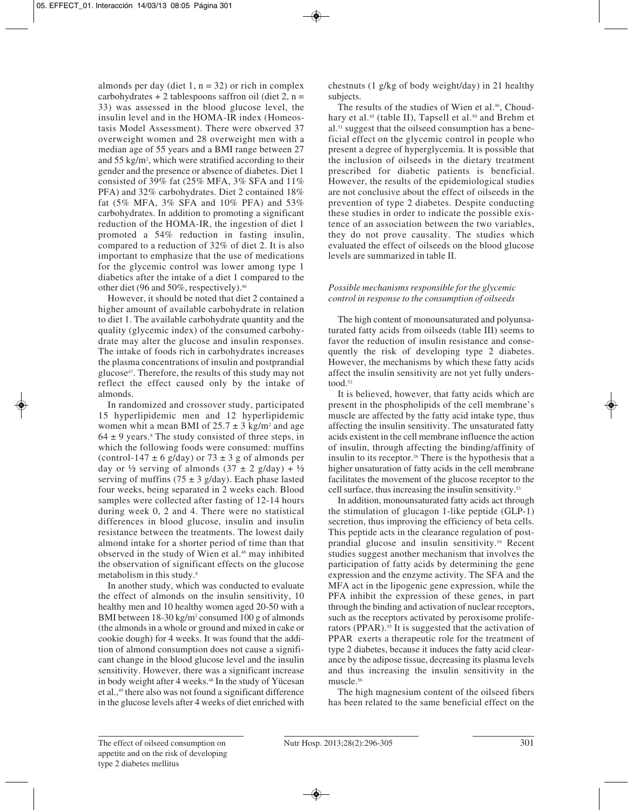almonds per day (diet 1,  $n = 32$ ) or rich in complex carbohydrates + 2 tablespoons saffron oil (diet 2,  $n =$ 33) was assessed in the blood glucose level, the insulin level and in the HOMA-IR index (Homeostasis Model Assessment). There were observed 37 overweight women and 28 overweight men with a median age of 55 years and a BMI range between 27 and 55 kg/m2 , which were stratified according to their gender and the presence or absence of diabetes. Diet 1 consisted of 39% fat (25% MFA, 3% SFA and 11% PFA) and 32% carbohydrates. Diet 2 contained 18% fat (5% MFA, 3% SFA and 10% PFA) and 53% carbohydrates. In addition to promoting a significant reduction of the HOMA-IR, the ingestion of diet 1 promoted a 54% reduction in fasting insulin, compared to a reduction of 32% of diet 2. It is also important to emphasize that the use of medications for the glycemic control was lower among type 1 diabetics after the intake of a diet 1 compared to the other diet (96 and 50%, respectively).46

However, it should be noted that diet 2 contained a higher amount of available carbohydrate in relation to diet 1. The available carbohydrate quantity and the quality (glycemic index) of the consumed carbohydrate may alter the glucose and insulin responses. The intake of foods rich in carbohydrates increases the plasma concentrations of insulin and postprandial glucose47. Therefore, the results of this study may not reflect the effect caused only by the intake of almonds.

In randomized and crossover study, participated 15 hyperlipidemic men and 12 hyperlipidemic women whit a mean BMI of  $25.7 \pm 3$  kg/m<sup>2</sup> and age  $64 \pm 9$  years.<sup>8</sup> The study consisted of three steps, in which the following foods were consumed: muffins (control-147  $\pm$  6 g/day) or 73  $\pm$  3 g of almonds per day or  $\frac{1}{2}$  serving of almonds  $(37 \pm 2 \text{ g/day}) + \frac{1}{2}$ serving of muffins (75  $\pm$  3 g/day). Each phase lasted four weeks, being separated in 2 weeks each. Blood samples were collected after fasting of 12-14 hours during week 0, 2 and 4. There were no statistical differences in blood glucose, insulin and insulin resistance between the treatments. The lowest daily almond intake for a shorter period of time than that observed in the study of Wien et al.<sup>46</sup> may inhibited the observation of significant effects on the glucose metabolism in this study.8

In another study, which was conducted to evaluate the effect of almonds on the insulin sensitivity, 10 healthy men and 10 healthy women aged 20-50 with a BMI between 18-30 kg/m<sup>2</sup> consumed 100 g of almonds (the almonds in a whole or ground and mixed in cake or cookie dough) for 4 weeks. It was found that the addition of almond consumption does not cause a significant change in the blood glucose level and the insulin sensitivity. However, there was a significant increase in body weight after 4 weeks.<sup>48</sup> In the study of Yücesan et al.,49 there also was not found a significant difference in the glucose levels after 4 weeks of diet enriched with

chestnuts (1 g/kg of body weight/day) in 21 healthy subjects.

The results of the studies of Wien et al.<sup>46</sup>, Choudhary et al.<sup>45</sup> (table II), Tapsell et al.<sup>50</sup> and Brehm et al.51 suggest that the oilseed consumption has a beneficial effect on the glycemic control in people who present a degree of hyperglycemia. It is possible that the inclusion of oilseeds in the dietary treatment prescribed for diabetic patients is beneficial. However, the results of the epidemiological studies are not conclusive about the effect of oilseeds in the prevention of type 2 diabetes. Despite conducting these studies in order to indicate the possible existence of an association between the two variables, they do not prove causality. The studies which evaluated the effect of oilseeds on the blood glucose levels are summarized in table II.

# *Possible mechanisms responsible for the glycemic control in response to the consumption of oilseeds*

The high content of monounsaturated and polyunsaturated fatty acids from oilseeds (table III) seems to favor the reduction of insulin resistance and consequently the risk of developing type 2 diabetes. However, the mechanisms by which these fatty acids affect the insulin sensitivity are not yet fully understood $<sup>52</sup>$ </sup>

It is believed, however, that fatty acids which are present in the phospholipids of the cell membrane's muscle are affected by the fatty acid intake type, thus affecting the insulin sensitivity. The unsaturated fatty acids existent in the cell membrane influence the action of insulin, through affecting the binding/affinity of insulin to its receptor.<sup>26</sup> There is the hypothesis that a higher unsaturation of fatty acids in the cell membrane facilitates the movement of the glucose receptor to the cell surface, thus increasing the insulin sensitivity.53

In addition, monounsaturated fatty acids act through the stimulation of glucagon 1-like peptide (GLP-1) secretion, thus improving the efficiency of beta cells. This peptide acts in the clearance regulation of postprandial glucose and insulin sensitivity.54 Recent studies suggest another mechanism that involves the participation of fatty acids by determining the gene expression and the enzyme activity. The SFA and the MFA act in the lipogenic gene expression, while the PFA inhibit the expression of these genes, in part through the binding and activation of nuclear receptors, such as the receptors activated by peroxisome proliferators (PPAR).<sup>55</sup> It is suggested that the activation of PPAR exerts a therapeutic role for the treatment of type 2 diabetes, because it induces the fatty acid clearance by the adipose tissue, decreasing its plasma levels and thus increasing the insulin sensitivity in the muscle.56

The high magnesium content of the oilseed fibers has been related to the same beneficial effect on the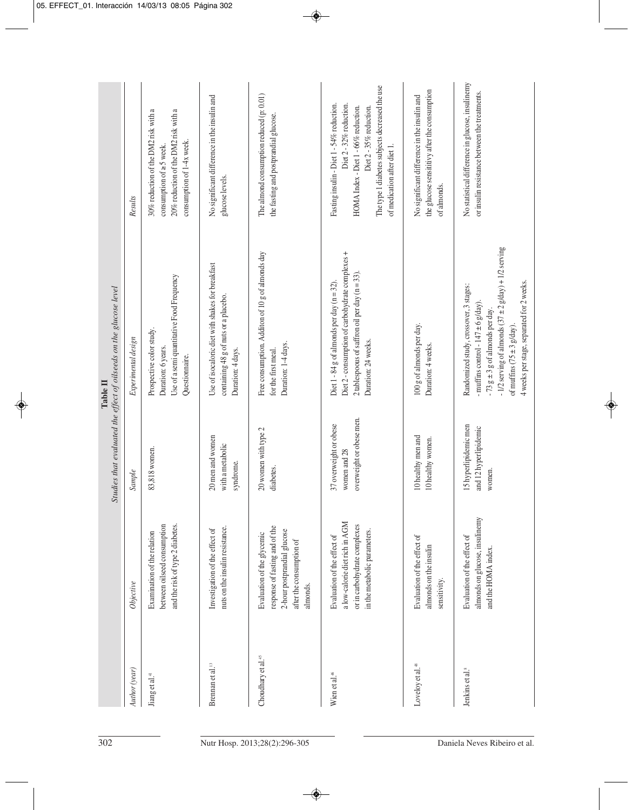| Studies that evaluated the effect of oilseeds on the glucose level<br>Table II | Results             | 30% reduction of the DM2 risk with a<br>20% reduction of the DM2 risk with a<br>consumption of 1-4x week.<br>consumption of $\geq$ 5 week. | No significant difference in the insulin and<br>glucose levels.                                                | The almond consumption reduced (p: 0.01)<br>the fasting and postprandial glucose.                                                   | The type 1 diabetes subjects decreased the use<br>Fasting insulin - Diet 1 - 54% reduction.<br>Diet 2 - 32% reduction.<br>HOMA Index - Diet 1 - 66% reduction.<br>Diet 2 - 35% reduction.<br>of medication after diet 1. | the glucose sensititivy after the consumption<br>No significant difference in the insulin and<br>of almonds. | No statistical difference in glucose, insulinemy<br>or insulin resistance between the treatments.                                                                                                                                                                                  |
|--------------------------------------------------------------------------------|---------------------|--------------------------------------------------------------------------------------------------------------------------------------------|----------------------------------------------------------------------------------------------------------------|-------------------------------------------------------------------------------------------------------------------------------------|--------------------------------------------------------------------------------------------------------------------------------------------------------------------------------------------------------------------------|--------------------------------------------------------------------------------------------------------------|------------------------------------------------------------------------------------------------------------------------------------------------------------------------------------------------------------------------------------------------------------------------------------|
|                                                                                | Experimental design | Use of a semi quantitative Food Frequency<br>Prospective color study.<br>Duration: 6 years.<br>Questionnaire.                              | Use of isocaloric diet with shakes for breakfast<br>containing 48 g of nuts or a placebo.<br>Duration: 4 days. | Free consumption. Additon of 10 g of almonds day<br>Duration: 1-4 days.<br>for the first meal.                                      | Diet 2 - consumption of carbohydrate complexes +<br>2 tablespoous of saffron oil per day $(n = 33)$ .<br>Diet $1 - 84$ g of almonds per day (n = 32).<br>Duration: 24 weeks.                                             | 100 g of almonds per day.<br>Duration: 4 weeks.                                                              | -1/2 serving of almonds $(37 \pm 2 \text{ g/day}) + 1/2$ serving<br>4 weeks per stage, separated for 2 weeks.<br>Randomized study, crossover, 3 stages:<br>- muffins control - $147 \pm 6$ g/day).<br>-73 $g \pm 3 g$ of almonds per day.<br>of muffins $(75 \pm 3 \text{ g/day})$ |
|                                                                                | Sample              | 83,818 women.                                                                                                                              | 20 men and women<br>with a metabolic<br>syndrome.                                                              | 20 women with type 2<br>diabetes.                                                                                                   | overweight or obese men.<br>37 overweight or obese<br>women and 28                                                                                                                                                       | 10 healthy men and<br>10 healthy women.                                                                      | 15 hyperlipidemic men<br>and 12 hyperlipidemic<br>women.                                                                                                                                                                                                                           |
|                                                                                | Objective           | and the risk of type 2 diabetes.<br>between oilseed consumption<br>Examination of the relation                                             | nuts on the insulin resistance.<br>Investigation of the effect of                                              | response of fasting and of the<br>2-hour postprandial glucose<br>Evaluation of the glycemic<br>after the consumption of<br>almonds. | a low-calorie diet rich in AGM<br>or in carbohydrate complexes<br>in the metabolic parameters.<br>Evaluation of the effect of                                                                                            | Evaluation of the effect of<br>almonds on the insulin<br>sensitivity.                                        | almonds on glucose, insulinemy<br>Evaluation of the effect of<br>and the HOMA index.                                                                                                                                                                                               |
|                                                                                | Author (year)       | Jiang et al. <sup>41</sup>                                                                                                                 | Brennan et al. <sup>13</sup>                                                                                   | Choudhary et al. <sup>45</sup>                                                                                                      | Wien et al. <sup>46</sup>                                                                                                                                                                                                | Loveloy et al. <sup>48</sup>                                                                                 | Jenkins et al. <sup>8</sup>                                                                                                                                                                                                                                                        |
| 302                                                                            |                     |                                                                                                                                            |                                                                                                                | Nutr Hosp. 2013;28(2):296-305                                                                                                       |                                                                                                                                                                                                                          |                                                                                                              | Daniela Neves Ribeiro et al.                                                                                                                                                                                                                                                       |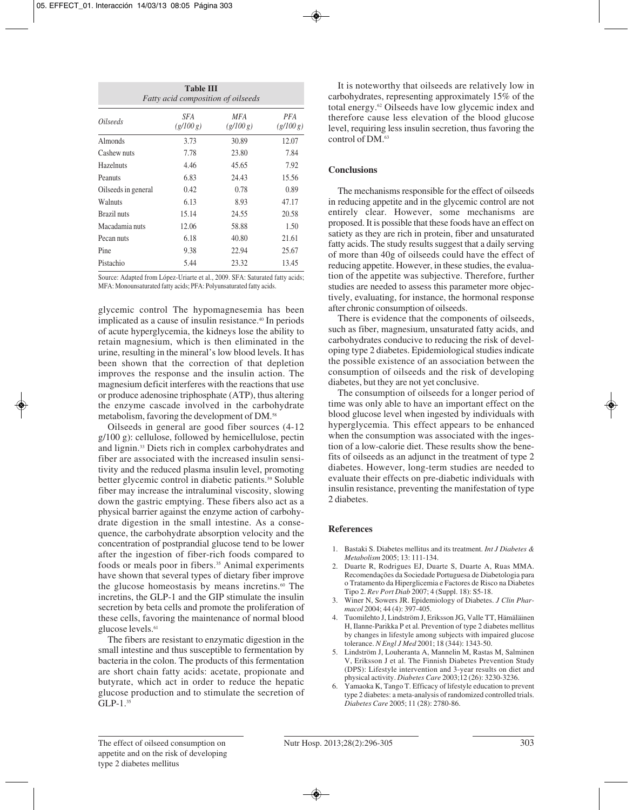| <b>Table III</b><br><b>Fatty acid composition of oilseeds</b> |                  |                  |                  |  |  |  |
|---------------------------------------------------------------|------------------|------------------|------------------|--|--|--|
| <i><u>Oilseeds</u></i>                                        | SFA<br>(g/100 g) | MFA<br>(g/100 g) | PFA<br>(g/100 g) |  |  |  |
| Almonds                                                       | 3.73             | 30.89            | 12.07            |  |  |  |
| Cashew nuts                                                   | 7.78             | 23.80            | 7.84             |  |  |  |
| Hazelnuts                                                     | 4.46             | 45.65            | 7.92             |  |  |  |
| Peanuts                                                       | 6.83             | 24.43            | 15.56            |  |  |  |
| Oilseeds in general                                           | 0.42             | 0.78             | 0.89             |  |  |  |
| Walnuts                                                       | 6.13             | 8.93             | 47.17            |  |  |  |
| Brazil nuts                                                   | 15.14            | 24.55            | 20.58            |  |  |  |
| Macadamia nuts                                                | 12.06            | 58.88            | 1.50             |  |  |  |
| Pecan nuts                                                    | 6.18             | 40.80            | 21.61            |  |  |  |
| Pine                                                          | 9.38             | 22.94            | 25.67            |  |  |  |
| Pistachio                                                     | 5.44             | 23.32            | 13.45            |  |  |  |

Source: Adapted from López-Uriarte et al., 2009. SFA: Saturated fatty acids; MFA: Monounsaturated fatty acids; PFA: Polyunsaturated fatty acids.

glycemic control The hypomagnesemia has been implicated as a cause of insulin resistance.40 In periods of acute hyperglycemia, the kidneys lose the ability to retain magnesium, which is then eliminated in the urine, resulting in the mineral's low blood levels. It has been shown that the correction of that depletion improves the response and the insulin action. The magnesium deficit interferes with the reactions that use or produce adenosine triphosphate (ATP), thus altering the enzyme cascade involved in the carbohydrate metabolism, favoring the development of DM.58

Oilseeds in general are good fiber sources (4-12 g/100 g): cellulose, followed by hemicellulose, pectin and lignin.33 Diets rich in complex carbohydrates and fiber are associated with the increased insulin sensitivity and the reduced plasma insulin level, promoting better glycemic control in diabetic patients.<sup>59</sup> Soluble fiber may increase the intraluminal viscosity, slowing down the gastric emptying. These fibers also act as a physical barrier against the enzyme action of carbohydrate digestion in the small intestine. As a consequence, the carbohydrate absorption velocity and the concentration of postprandial glucose tend to be lower after the ingestion of fiber-rich foods compared to foods or meals poor in fibers.<sup>35</sup> Animal experiments have shown that several types of dietary fiber improve the glucose homeostasis by means incretins.<sup>60</sup> The incretins, the GLP-1 and the GIP stimulate the insulin secretion by beta cells and promote the proliferation of these cells, favoring the maintenance of normal blood glucose levels.<sup>61</sup>

The fibers are resistant to enzymatic digestion in the small intestine and thus susceptible to fermentation by bacteria in the colon. The products of this fermentation are short chain fatty acids: acetate, propionate and butyrate, which act in order to reduce the hepatic glucose production and to stimulate the secretion of GLP-1.<sup>35</sup>

It is noteworthy that oilseeds are relatively low in carbohydrates, representing approximately 15% of the total energy.62 Oilseeds have low glycemic index and therefore cause less elevation of the blood glucose level, requiring less insulin secretion, thus favoring the control of DM.63

## **Conclusions**

The mechanisms responsible for the effect of oilseeds in reducing appetite and in the glycemic control are not entirely clear. However, some mechanisms are proposed. It is possible that these foods have an effect on satiety as they are rich in protein, fiber and unsaturated fatty acids. The study results suggest that a daily serving of more than 40g of oilseeds could have the effect of reducing appetite. However, in these studies, the evaluation of the appetite was subjective. Therefore, further studies are needed to assess this parameter more objectively, evaluating, for instance, the hormonal response after chronic consumption of oilseeds.

There is evidence that the components of oilseeds, such as fiber, magnesium, unsaturated fatty acids, and carbohydrates conducive to reducing the risk of developing type 2 diabetes. Epidemiological studies indicate the possible existence of an association between the consumption of oilseeds and the risk of developing diabetes, but they are not yet conclusive.

The consumption of oilseeds for a longer period of time was only able to have an important effect on the blood glucose level when ingested by individuals with hyperglycemia. This effect appears to be enhanced when the consumption was associated with the ingestion of a low-calorie diet. These results show the benefits of oilseeds as an adjunct in the treatment of type 2 diabetes. However, long-term studies are needed to evaluate their effects on pre-diabetic individuals with insulin resistance, preventing the manifestation of type 2 diabetes.

# **References**

- 1. Bastaki S. Diabetes mellitus and its treatment. *Int J Diabetes & Metabolism* 2005; 13: 111-134.
- 2. Duarte R, Rodrigues EJ, Duarte S, Duarte A, Ruas MMA. Recomendações da Sociedade Portuguesa de Diabetologia para o Tratamento da Hiperglicemia e Factores de Risco na Diabetes Tipo 2. *Rev Port Diab* 2007; 4 (Suppl. 18): S5-18.
- 3. Winer N, Sowers JR. Epidemiology of Diabetes. *J Clin Pharmacol* 2004; 44 (4): 397-405.
- 4. Tuomilehto J, Lindström J, Eriksson JG, Valle TT, Hämäläinen H, Ilanne-Parikka P et al. Prevention of type 2 diabetes mellitus by changes in lifestyle among subjects with impaired glucose tolerance. *N Engl J Med* 2001; 18 (344): 1343-50.
- 5. Lindström J, Louheranta A, Mannelin M, Rastas M, Salminen V, Eriksson J et al. The Finnish Diabetes Prevention Study (DPS): Lifestyle intervention and 3-year results on diet and physical activity. *Diabetes Care* 2003;12 (26): 3230-3236.
- Yamaoka K, Tango T. Efficacy of lifestyle education to prevent type 2 diabetes: a meta-analysis of randomized controlled trials. *Diabetes Care* 2005; 11 (28): 2780-86.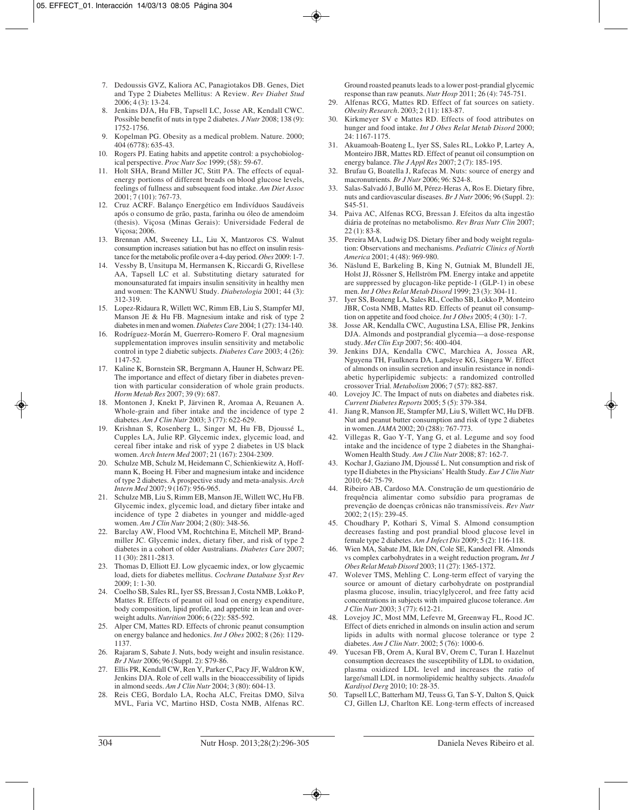- 7. Dedoussis GVZ, Kaliora AC, Panagiotakos DB. Genes, Diet and Type 2 Diabetes Mellitus: A Review. *Rev Diabet Stud* 2006; 4 (3): 13-24.
- 8. Jenkins DJA, Hu FB, Tapsell LC, Josse AR, Kendall CWC. Possible benefit of nuts in type 2 diabetes. *J Nutr* 2008; 138 (9): 1752-1756.
- 9. Kopelman PG. Obesity as a medical problem. Nature. 2000; 404 (6778): 635-43.
- 10. Rogers PJ. Eating habits and appetite control: a psychobiological perspective. *Proc Nutr Soc* 1999; (58): 59-67.
- 11. Holt SHA, Brand Miller JC, Stitt PA. The effects of equalenergy portions of different breads on blood glucose levels, feelings of fullness and subsequent food intake. *Am Diet Assoc* 2001; 7 (101): 767-73.
- 12. Cruz ACRF. Balanço Energético em Indivíduos Saudáveis após o consumo de grão, pasta, farinha ou óleo de amendoim (thesis). Viçosa (Minas Gerais): Universidade Federal de Viçosa; 2006.
- 13. Brennan AM, Sweeney LL, Liu X, Mantzoros CS. Walnut consumption increases satiation but has no effect on insulin resistance for the metabolic profile over a 4-day period. *Obes* 2009: 1-7.
- 14. Vessby B, Unsitupa M, Hermansen K, Riccardi G, Rivellese AA, Tapsell LC et al. Substituting dietary saturated for monounsaturated fat impairs insulin sensitivity in healthy men and women: The KANWU Study. *Diabetologia* 2001; 44 (3): 312-319.
- 15. Lopez-Ridaura R, Willett WC, Rimm EB, Liu S, Stampfer MJ, Manson JE & Hu FB. Magnesium intake and risk of type 2 diabetes in men and women. *Diabetes Care* 2004; 1 (27): 134-140.
- 16. Rodríguez-Morán M, Guerrero-Romero F. Oral magnesium supplementation improves insulin sensitivity and metabolic control in type 2 diabetic subjects. *Diabetes Care* 2003; 4 (26): 1147-52.
- 17. Kaline K, Bornstein SR, Bergmann A, Hauner H, Schwarz PE. The importance and effect of dietary fiber in diabetes prevention with particular consideration of whole grain products. *Horm Metab Res* 2007; 39 (9): 687.
- 18. Montonen J, Knekt P, Järvinen R, Aromaa A, Reuanen A. Whole-grain and fiber intake and the incidence of type 2 diabetes. *Am J Clin Nutr* 2003; 3 (77): 622-629.
- 19. Krishnan S, Rosenberg L, Singer M, Hu FB, Djoussé L, Cupples LA, Julie RP. Glycemic index, glycemic load, and cereal fiber intake and risk of yype 2 diabetes in US black women. *Arch Intern Med* 2007; 21 (167): 2304-2309.
- 20. Schulze MB, Schulz M, Heidemann C, Schienkiewitz A, Hoffmann K, Boeing H*.* Fiber and magnesium intake and incidence of type 2 diabetes. A prospective study and meta-analysis. *Arch Intern Med* 2007; 9 (167): 956-965.
- 21. Schulze MB, Liu S, Rimm EB, Manson JE, Willett WC, Hu FB. Glycemic index, glycemic load, and dietary fiber intake and incidence of type 2 diabetes in younger and middle-aged women. *Am J Clin Nutr* 2004; 2 (80): 348-56.
- 22. Barclay AW, Flood VM, Rochtchina E, Mitchell MP, Brandmiller JC. Glycemic index, dietary fiber, and risk of type 2 diabetes in a cohort of older Australians. *Diabetes Care* 2007; 11 (30): 2811-2813.
- 23. Thomas D, Elliott EJ. Low glycaemic index, or low glycaemic load, diets for diabetes mellitus. *Cochrane Database Syst Rev* 2009; 1: 1-30.
- 24. Coelho SB, Sales RL, Iyer SS, Bressan J, Costa NMB, Lokko P, Mattes R. Effects of peanut oil load on energy expenditure, body composition, lipid profile, and appetite in lean and overweight adults. *Nutrition* 2006; 6 (22): 585-592.
- 25. Alper CM, Mattes RD. Effects of chronic peanut consumption on energy balance and hedonics. *Int J Obes* 2002; 8 (26): 1129- 1137.
- 26. Rajaram S, Sabate J. Nuts, body weight and insulin resistance. *Br J Nutr* 2006; 96 (Suppl. 2): S79-86.
- 27. Ellis PR, Kendall CW, Ren Y, Parker C, Pacy JF, Waldron KW, Jenkins DJA. Role of cell walls in the bioaccessibility of lipids in almond seeds. *Am J Clin Nutr* 2004; 3 (80): 604-13.
- 28. Reis CEG, Bordalo LA, Rocha ALC, Freitas DMO, Silva MVL, Faria VC, Martino HSD, Costa NMB, Alfenas RC.

Ground roasted peanuts leads to a lower post-prandial glycemic response than raw peanuts. *Nutr Hosp* 2011; 26 (4): 745-751.

- 29. Alfenas RCG, Mattes RD. Effect of fat sources on satiety. *Obesity Research*. 2003; 2 (11): 183-87.
- 30. Kirkmeyer SV e Mattes RD. Effects of food attributes on hunger and food intake. *Int J Obes Relat Metab Disord* 2000; 24: 1167-1175.
- 31. Akuamoah-Boateng L, Iyer SS, Sales RL, Lokko P, Lartey A, Monteiro JBR, Mattes RD. Effect of peanut oil consumption on energy balance. *The J Appl Res* 2007; 2 (7): 185-195.
- 32. Brufau G, Boatella J, Rafecas M. Nuts: source of energy and macronutrients*. Br J Nutr* 2006; 96: S24-8.
- 33. Salas-Salvadó J, Bulló M, Pérez-Heras A, Ros E. Dietary fibre, nuts and cardiovascular diseases. *Br J Nutr* 2006; 96 (Suppl. 2): S45-51.
- 34. Paiva AC, Alfenas RCG, Bressan J. Efeitos da alta ingestão diária de proteínas no metabolismo. *Rev Bras Nutr Clin* 2007; 22 (1): 83-8.
- 35. Pereira MA, Ludwig DS. Dietary fiber and body weight regulation: Observations and mechanisms. *Pediatric Clinics of North America* 2001; 4 (48): 969-980.
- 36. Näslund E, Barkeling B, King N, Gutniak M, Blundell JE, Holst JJ, Rössner S, Hellström PM. Energy intake and appetite are suppressed by glucagon-like peptide-1 (GLP-1) in obese men. *Int J Obes Relat Metab Disord* 1999; 23 (3): 304-11.
- 37. Iyer SS, Boateng LA, Sales RL, Coelho SB, Lokko P, Monteiro JBR, Costa NMB, Mattes RD. Effects of peanut oil consumption on appetite and food choice. *Int J Obes* 2005; 4 (30): 1-7.
- 38. Josse AR, Kendalla CWC, Augustina LSA, Ellise PR, Jenkins DJA. Almonds and postprandial glycemia—a dose-response study. *Met Clin Exp* 2007; 56: 400-404.
- 39. Jenkins DJA, Kendalla CWC, Marchiea A, Jossea AR, Nguyena TH, Faulknera DA, Lapsleye KG, Singera W. Effect of almonds on insulin secretion and insulin resistance in nondiabetic hyperlipidemic subjects: a randomized controlled crossover Trial. *Metabolism* 2006; 7 (57): 882-887.
- 40. Lovejoy JC. The Impact of nuts on diabetes and diabetes risk. *Current Diabetes Reports* 2005; 5 (5): 379-384.
- 41. Jiang R, Manson JE, Stampfer MJ, Liu S, Willett WC, Hu DFB. Nut and peanut butter consumption and risk of type 2 diabetes in women. *JAMA* 2002; 20 (288): 767-773.
- 42. Villegas R, Gao Y-T, Yang G, et al. Legume and soy food intake and the incidence of type 2 diabetes in the Shanghai-Women Health Study*. Am J Clin Nutr* 2008; 87: 162-7.
- 43. Kochar J, Gaziano JM, Djoussé L. Nut consumption and risk of type II diabetes in the Physicians' Health Study. *Eur J Clin Nutr* 2010; 64: 75-79.
- 44. Ribeiro AB, Cardoso MA. Construção de um questionário de frequência alimentar como subsídio para programas de prevenção de doenças crônicas não transmissíveis. *Rev Nutr* 2002; 2 (15): 239-45.
- 45. Choudhary P, Kothari S, Vimal S. Almond consumption decreases fasting and post prandial blood glucose level in female type 2 diabetes. *Am J Infect Dis* 2009; 5 (2): 116-118.
- 46. Wien MA, Sabate JM, Ikle DN, Cole SE, Kandeel FR. Almonds vs complex carbohydrates in a weight reduction program**.** *Int J Obes Relat Metab Disord* 2003; 11 (27): 1365-1372.
- 47. Wolever TMS, Mehling C. Long-term effect of varying the source or amount of dietary carbohydrate on postprandial plasma glucose, insulin, triacylglycerol, and free fatty acid concentrations in subjects with impaired glucose tolerance. *Am J Clin Nutr* 2003; 3 (77): 612-21.
- 48. Lovejoy JC, Most MM, Lefevre M, Greenway FL, Rood JC. Effect of diets enriched in almonds on insulin action and serum lipids in adults with normal glucose tolerance or type 2 diabetes. *Am J Clin Nutr*. 2002; 5 (76): 1000-6.
- 49. Yucesan FB, Orem A, Kural BV, Orem C, Turan I. Hazelnut consumption decreases the susceptibility of LDL to oxidation, plasma oxidized LDL level and increases the ratio of large/small LDL in normolipidemic healthy subjects. *Anadolu Kardiyol Derg* 2010; 10: 28-35.
- 50. Tapsell LC, Batterham MJ, Teuss G, Tan S-Y, Dalton S, Quick CJ, Gillen LJ, Charlton KE. Long-term effects of increased